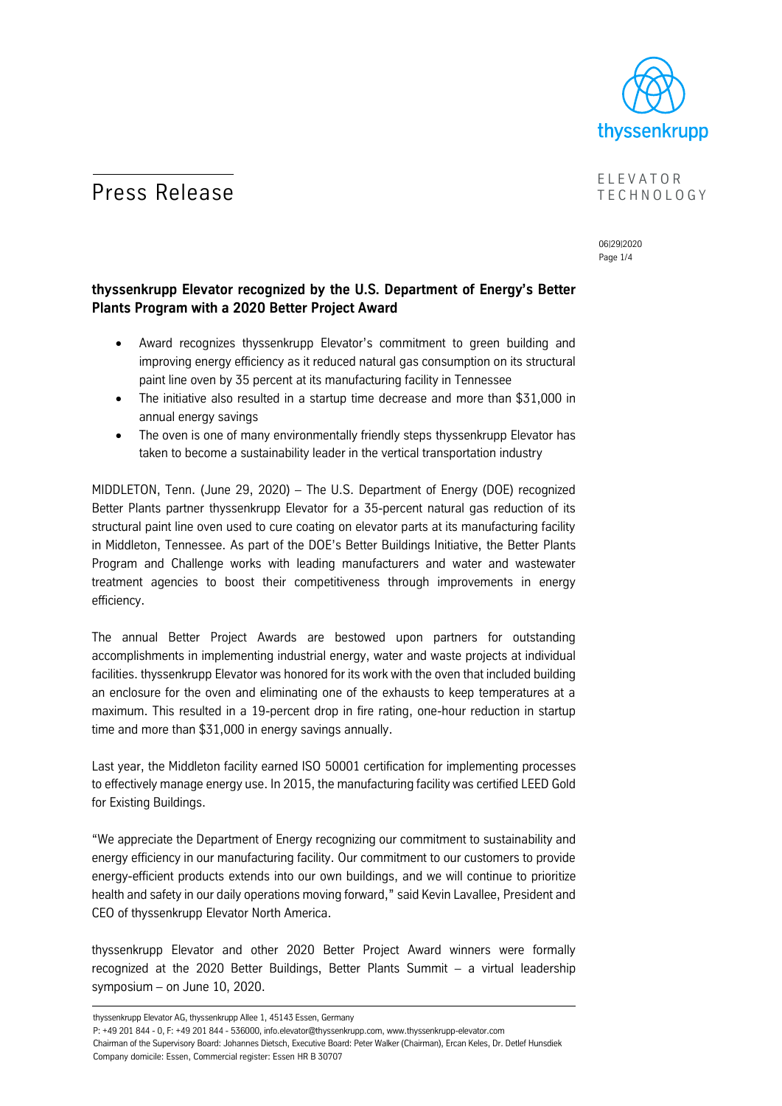

# **Press Release** ELEVATOR

# T E C H N O L O G Y

06|29|2020 Page 1/4

### **thyssenkrupp Elevator recognized by the U.S. Department of Energy's Better Plants Program with a 2020 Better Project Award**

- Award recognizes thyssenkrupp Elevator's commitment to green building and improving energy efficiency as it reduced natural gas consumption on its structural paint line oven by 35 percent at its manufacturing facility in Tennessee
- The initiative also resulted in a startup time decrease and more than \$31,000 in annual energy savings
- The oven is one of many environmentally friendly steps thyssenkrupp Elevator has taken to become a sustainability leader in the vertical transportation industry

MIDDLETON, Tenn. (June 29, 2020) – The U.S. Department of Energy (DOE) recognized Better Plants partner thyssenkrupp Elevator for a 35-percent natural gas reduction of its structural paint line oven used to cure coating on elevator parts at its manufacturing facility in Middleton, Tennessee. As part of the DOE's Better Buildings Initiative, the Better Plants Program and Challenge works with leading manufacturers and water and wastewater treatment agencies to boost their competitiveness through improvements in energy efficiency.

The annual Better Project Awards are bestowed upon partners for outstanding accomplishments in implementing industrial energy, water and waste projects at individual facilities. thyssenkrupp Elevator was honored for its work with the oven that included building an enclosure for the oven and eliminating one of the exhausts to keep temperatures at a maximum. This resulted in a 19-percent drop in fire rating, one-hour reduction in startup time and more than \$31,000 in energy savings annually.

Last year, the Middleton facility earned ISO 50001 certification for implementing processes to effectively manage energy use. In 2015, the manufacturing facility was certified LEED Gold for Existing Buildings.

"We appreciate the Department of Energy recognizing our commitment to sustainability and energy efficiency in our manufacturing facility. Our commitment to our customers to provide energy-efficient products extends into our own buildings, and we will continue to prioritize health and safety in our daily operations moving forward," said Kevin Lavallee, President and CEO of thyssenkrupp Elevator North America.

thyssenkrupp Elevator and other 2020 Better Project Award winners were formally recognized at the 2020 Better Buildings, Better Plants Summit – a virtual leadership symposium – on June 10, 2020.

thyssenkrupp Elevator AG, thyssenkrupp Allee 1, 45143 Essen, Germany

P: +49 201 844 - 0, F: +49 201 844 - 536000, info.elevator@thyssenkrupp.com, www.thyssenkrupp-elevator.com Chairman of the Supervisory Board: Johannes Dietsch, Executive Board: Peter Walker (Chairman), Ercan Keles, Dr. Detlef Hunsdiek Company domicile: Essen, Commercial register: Essen HR B 30707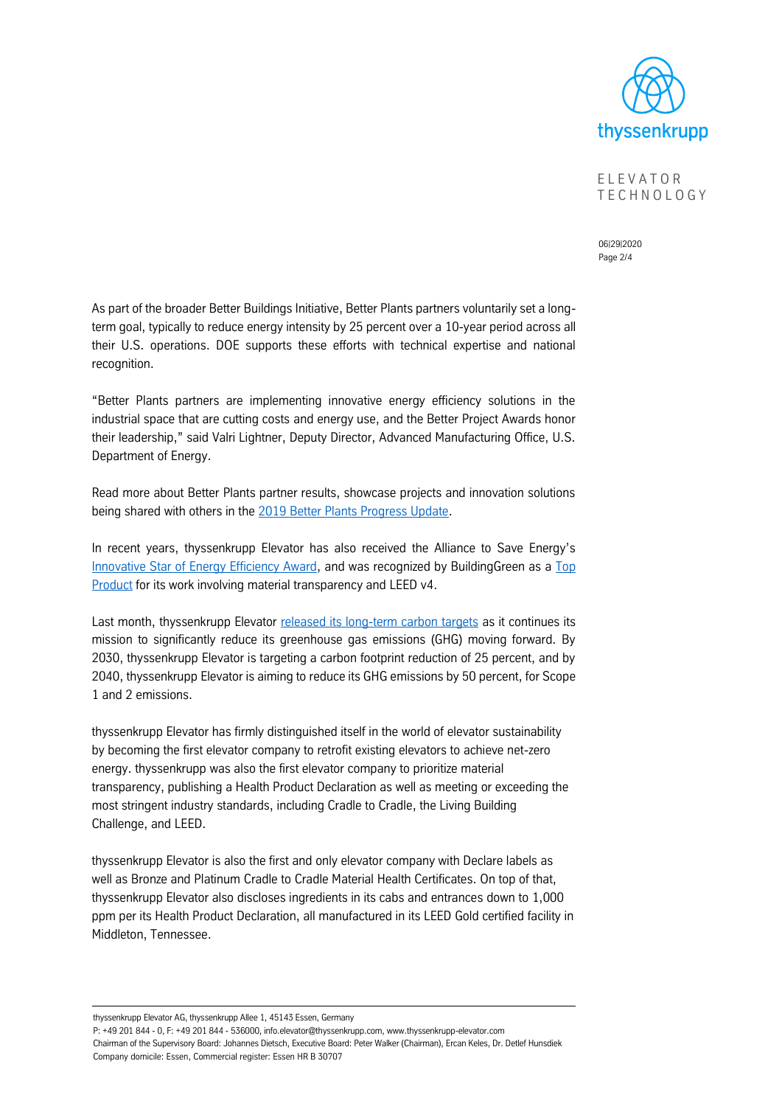

E L E V A T O R T E C H N O L O G Y

06|29|2020 Page 2/4

As part of the broader Better Buildings Initiative, Better Plants partners voluntarily set a longterm goal, typically to reduce energy intensity by 25 percent over a 10-year period across all their U.S. operations. DOE supports these efforts with technical expertise and national recognition.

"Better Plants partners are implementing innovative energy efficiency solutions in the industrial space that are cutting costs and energy use, and the Better Project Awards honor their leadership," said Valri Lightner, Deputy Director, Advanced Manufacturing Office, U.S. Department of Energy.

Read more about Better Plants partner results, showcase projects and innovation solutions being shared with others in the [2019 Better Plants Progress Update](https://betterbuildingssolutioncenter.energy.gov/sites/default/files/attachments/2019%20Better%20Plants%20Progress%20Update.pdf).

In recent years, thyssenkrupp Elevator has also received the Alliance to Save Energy's [Innovative Star of Energy Efficiency Award,](https://storage.thyssenkruppelevator.com/assets/downloads/news/pr/tkE-MULTIEnergyEfficiencyAward-07182018.pdf) and was recognized by BuildingGreen as a Top [Product](https://storage.thyssenkruppelevator.com/assets/downloads/news/pr/tke-BuildingGreen-11092017.pdf) for its work involving material transparency and LEED v4.

Last month, thyssenkrupp Elevator [released its long-term carbon targets](https://storage.thyssenkruppelevator.com/assets/downloads/news/pr/tkE-CarbonTarget-06052020.pdf) as it continues its mission to significantly reduce its greenhouse gas emissions (GHG) moving forward. By 2030, thyssenkrupp Elevator is targeting a carbon footprint reduction of 25 percent, and by 2040, thyssenkrupp Elevator is aiming to reduce its GHG emissions by 50 percent, for Scope 1 and 2 emissions.

thyssenkrupp Elevator has firmly distinguished itself in the world of elevator sustainability by becoming the first elevator company to retrofit existing elevators to achieve net-zero energy. thyssenkrupp was also the first elevator company to prioritize material transparency, publishing a Health Product Declaration as well as meeting or exceeding the most stringent industry standards, including Cradle to Cradle, the Living Building Challenge, and LEED.

thyssenkrupp Elevator is also the first and only elevator company with Declare labels as well as Bronze and Platinum Cradle to Cradle Material Health Certificates. On top of that, thyssenkrupp Elevator also discloses ingredients in its cabs and entrances down to 1,000 ppm per its Health Product Declaration, all manufactured in its LEED Gold certified facility in Middleton, Tennessee.

thyssenkrupp Elevator AG, thyssenkrupp Allee 1, 45143 Essen, Germany

P: +49 201 844 - 0, F: +49 201 844 - 536000, info.elevator@thyssenkrupp.com, www.thyssenkrupp-elevator.com Chairman of the Supervisory Board: Johannes Dietsch, Executive Board: Peter Walker (Chairman), Ercan Keles, Dr. Detlef Hunsdiek Company domicile: Essen, Commercial register: Essen HR B 30707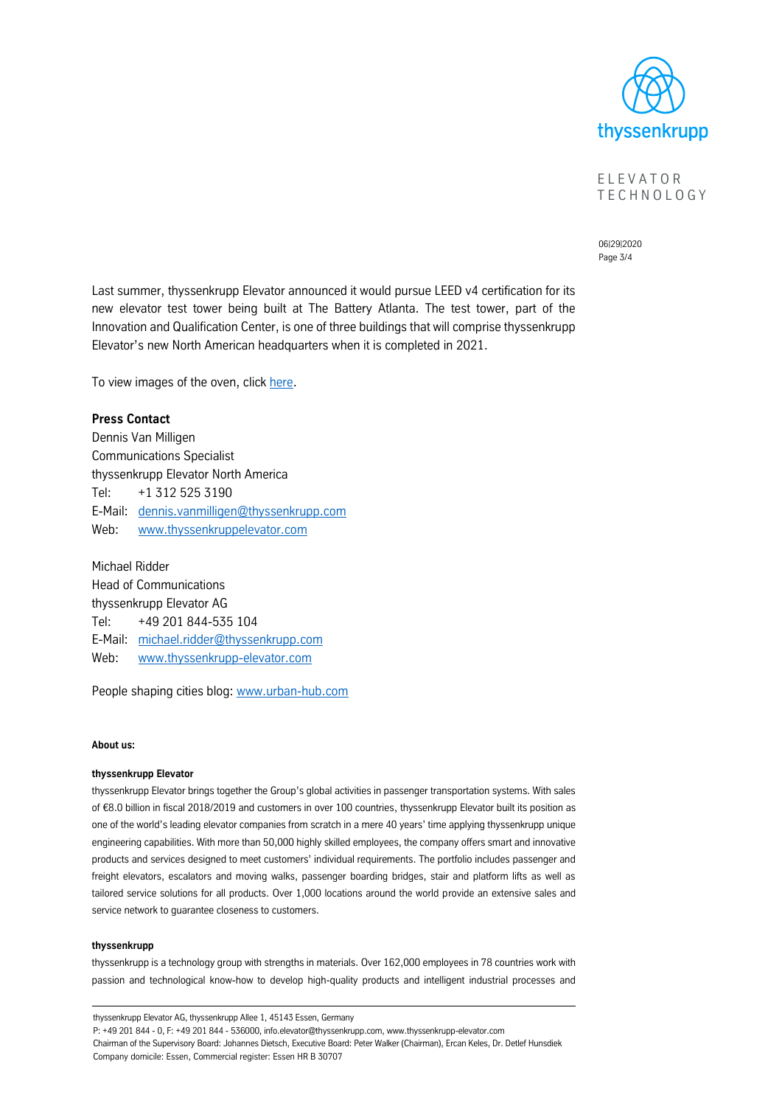

E L E V A T O R **TECHNOLOGY** 

06|29|2020 Page 3/4

Last summer, thyssenkrupp Elevator announced it would pursue LEED v4 certification for its new elevator test tower being built at The Battery Atlanta. The test tower, part of the Innovation and Qualification Center, is one of three buildings that will comprise thyssenkrupp Elevator's new North American headquarters when it is completed in 2021.

To view images of the oven, click [here.](https://transfer.thyssenkrupp.com/public/w105661b_77095a3f20634a60f13d38/)

#### **Press Contact**

Dennis Van Milligen Communications Specialist thyssenkrupp Elevator North America Tel: +1 312 525 3190 E-Mail: [dennis.vanmilligen@thyssenkrupp.com](mailto:dennis.vanmilligen@thyssenkrupp.com) Web: [www.thyssenkruppelevator.com](http://www.thyssenkruppelevator.com/)

Michael Ridder Head of Communications thyssenkrupp Elevator AG Tel: +49 201 844-535 104 E-Mail: [michael.ridder@thyssenkrupp.com](mailto:michael.ridder@thyssenkrupp.com) Web: [www.thyssenkrupp-elevator.com](file:///C:/Users/KrzeszoE/AppData/Local/Microsoft/Windows/Temporary%20Internet%20Files/lsorgenicht/AppData/Local/Microsoft/Windows/Temporary%20Internet%20Files/Content.Outlook/V9CWVB6S/www.thyssenkrupp-elevator.com)

People shaping cities blog: [www.urban-hub.com](http://www.urban-hub.com/)

#### **About us:**

#### **thyssenkrupp Elevator**

thyssenkrupp Elevator brings together the Group's global activities in passenger transportation systems. With sales of €8.0 billion in fiscal 2018/2019 and customers in over 100 countries, thyssenkrupp Elevator built its position as one of the world's leading elevator companies from scratch in a mere 40 years' time applying thyssenkrupp unique engineering capabilities. With more than 50,000 highly skilled employees, the company offers smart and innovative products and services designed to meet customers' individual requirements. The portfolio includes passenger and freight elevators, escalators and moving walks, passenger boarding bridges, stair and platform lifts as well as tailored service solutions for all products. Over 1,000 locations around the world provide an extensive sales and service network to guarantee closeness to customers.

#### **thyssenkrupp**

thyssenkrupp is a technology group with strengths in materials. Over 162,000 employees in 78 countries work with passion and technological know-how to develop high-quality products and intelligent industrial processes and

thyssenkrupp Elevator AG, thyssenkrupp Allee 1, 45143 Essen, Germany P: +49 201 844 - 0, F: +49 201 844 - 536000, info.elevator@thyssenkrupp.com, www.thyssenkrupp-elevator.com Chairman of the Supervisory Board: Johannes Dietsch, Executive Board: Peter Walker (Chairman), Ercan Keles, Dr. Detlef Hunsdiek Company domicile: Essen, Commercial register: Essen HR B 30707